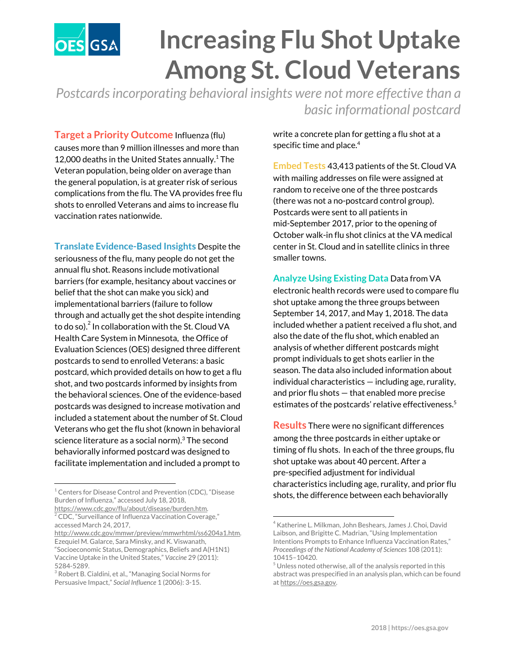

## **Increasing Flu Shot Uptake Among St. Cloud Veterans**

*Postcardsincorporating behavioral insights were not more effective than a basic informational postcard*

**Target a Priority Outcome** Influenza (flu) causes more than 9 million illnesses and more than 12,000 deaths in the United States annually. $1$  The Veteran population, being older on average than the general population, is at greater risk of serious complications from the flu. The VA provides free flu shots to enrolled Veterans and aims to increase flu vaccination rates nationwide.

**Translate Evidence-Based Insights** Despite the seriousness of the flu, many people do not get the annual flu shot. Reasons include motivational barriers (for example, hesitancy about vaccines or belief that the shot can make you sick) and implementational barriers (failure to follow through and actually get the shot despite intending to do so). $^2$  In collaboration with the St. Cloud VA Health Care System in Minnesota, the Office of Evaluation Sciences (OES) designed three different postcards to send to enrolled Veterans: a basic postcard, which provided details on how to get a flu shot, and two postcards informed by insights from the behavioral sciences. One of the evidence-based postcards was designed to increase motivation and included a statement about the number of St. Cloud Veterans who get the flu shot (known in behavioral science literature as a social norm).<sup>3</sup> The second behaviorally informed postcard was designed to facilitate implementation and included a prompt to

<sup>1</sup> Centers for Disease Control and Prevention (CDC), "Disease Burden of Influenza," accessed July 18, 2018,

write a concrete plan for getting a flu shot at a specific time and place. 4

**Embed Tests** 43,413 patients of the St. Cloud VA with mailing addresses on file were assigned at random to receive one of the three postcards (there was not a no-postcard control group). Postcards were sent to all patients in mid-September 2017, prior to the opening of October walk-in flu shot clinics at the VA medical center in St. Cloud and in satellite clinics in three smaller towns.

## **Analyze Using Existing Data** Data from VA electronic health records were used to compare flu shot uptake among the three groups between September 14, 2017, and May 1, 2018. The data included whether a patient received a flu shot, and also the date of the flu shot, which enabled an analysis of whether different postcards might prompt individuals to get shots earlier in the season. The data also included information about individual characteristics — including age, rurality, and prior flu shots — that enabled more precise estimates of the postcards' relative effectiveness. 5

**Results** There were no significant differences among the three postcards in either uptake or timing of flu shots. In each of the three groups, flu shot uptake was about 40 percent. After a pre-specified adjustment for individual characteristics including age, rurality, and prior flu shots, the difference between each behaviorally

[https://www.cdc.gov/flu/about/disease/burden.htm.](https://www.cdc.gov/flu/about/disease/burden.htm)  $\rm ^2$  CDC, "Surveillance of Influenza Vaccination Coverage," accessed March 24, 2017,

[http://www.cdc.gov/mmwr/preview/mmwrhtml/ss6204a1.htm.](http://www.cdc.gov/mmwr/preview/mmwrhtml/ss6204a1.htm) Ezequiel M. Galarce, Sara Minsky, and K. Viswanath, "Socioeconomic Status, Demographics, Beliefs and A(H1N1) Vaccine Uptake in the United States," *Vaccine* 29 (2011): 5284-5289.

 $3$  Robert B. Cialdini, et al., "Managing Social Norms for Persuasive Impact," *Social Influence* 1 (2006): 3-15.

<sup>4</sup> Katherine L. Milkman, John Beshears, James J. Choi, David Laibson, and Brigitte C. Madrian, "Using Implementation Intentions Prompts to Enhance Influenza Vaccination Rates," *Proceedings of the National Academy of Sciences* 108 (2011): 10415–10420.

 $<sup>5</sup>$  Unless noted otherwise, all of the analysis reported in this</sup> abstract was prespecified in an analysis plan, which can be found at [https://oes.gsa.gov.](https://oes.gsa.gov/)